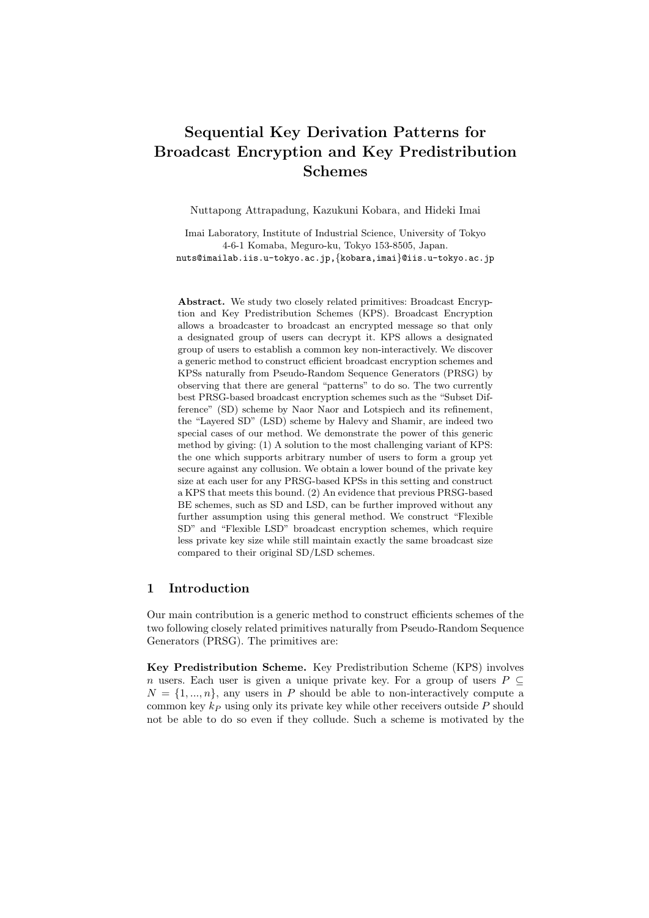# Sequential Key Derivation Patterns for Broadcast Encryption and Key Predistribution Schemes

Nuttapong Attrapadung, Kazukuni Kobara, and Hideki Imai

Imai Laboratory, Institute of Industrial Science, University of Tokyo 4-6-1 Komaba, Meguro-ku, Tokyo 153-8505, Japan. nuts@imailab.iis.u-tokyo.ac.jp,{kobara,imai}@iis.u-tokyo.ac.jp

Abstract. We study two closely related primitives: Broadcast Encryption and Key Predistribution Schemes (KPS). Broadcast Encryption allows a broadcaster to broadcast an encrypted message so that only a designated group of users can decrypt it. KPS allows a designated group of users to establish a common key non-interactively. We discover a generic method to construct efficient broadcast encryption schemes and KPSs naturally from Pseudo-Random Sequence Generators (PRSG) by observing that there are general "patterns" to do so. The two currently best PRSG-based broadcast encryption schemes such as the "Subset Difference" (SD) scheme by Naor Naor and Lotspiech and its refinement, the "Layered SD" (LSD) scheme by Halevy and Shamir, are indeed two special cases of our method. We demonstrate the power of this generic method by giving: (1) A solution to the most challenging variant of KPS: the one which supports arbitrary number of users to form a group yet secure against any collusion. We obtain a lower bound of the private key size at each user for any PRSG-based KPSs in this setting and construct a KPS that meets this bound. (2) An evidence that previous PRSG-based BE schemes, such as SD and LSD, can be further improved without any further assumption using this general method. We construct "Flexible SD" and "Flexible LSD" broadcast encryption schemes, which require less private key size while still maintain exactly the same broadcast size compared to their original SD/LSD schemes.

## 1 Introduction

Our main contribution is a generic method to construct efficients schemes of the two following closely related primitives naturally from Pseudo-Random Sequence Generators (PRSG). The primitives are:

Key Predistribution Scheme. Key Predistribution Scheme (KPS) involves n users. Each user is given a unique private key. For a group of users  $P \subseteq$  $N = \{1, ..., n\}$ , any users in P should be able to non-interactively compute a common key  $k_P$  using only its private key while other receivers outside P should not be able to do so even if they collude. Such a scheme is motivated by the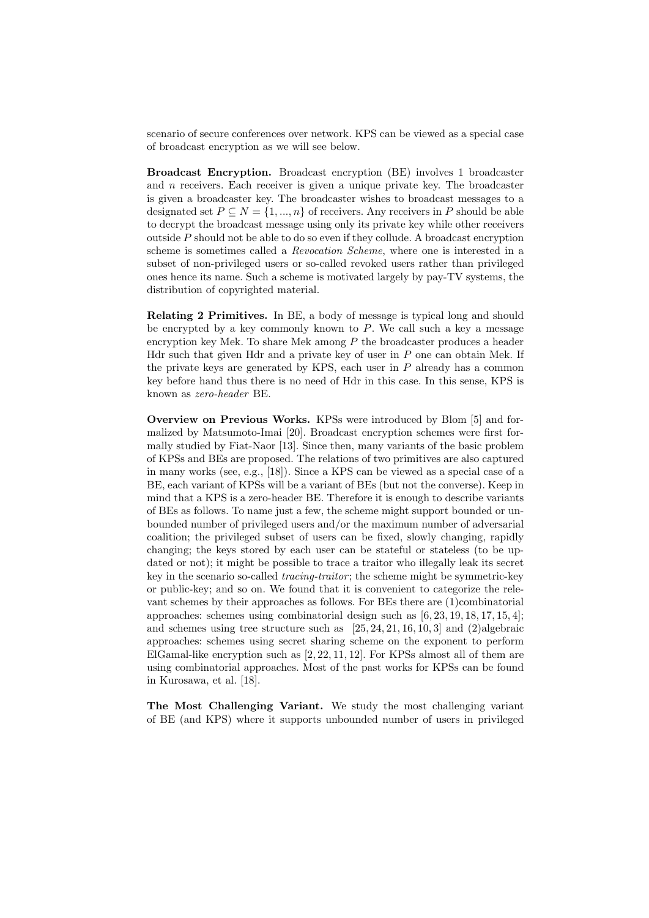scenario of secure conferences over network. KPS can be viewed as a special case of broadcast encryption as we will see below.

Broadcast Encryption. Broadcast encryption (BE) involves 1 broadcaster and  $n$  receivers. Each receiver is given a unique private key. The broadcaster is given a broadcaster key. The broadcaster wishes to broadcast messages to a designated set  $P \subseteq N = \{1, ..., n\}$  of receivers. Any receivers in P should be able to decrypt the broadcast message using only its private key while other receivers outside  $P$  should not be able to do so even if they collude. A broadcast encryption scheme is sometimes called a *Revocation Scheme*, where one is interested in a subset of non-privileged users or so-called revoked users rather than privileged ones hence its name. Such a scheme is motivated largely by pay-TV systems, the distribution of copyrighted material.

Relating 2 Primitives. In BE, a body of message is typical long and should be encrypted by a key commonly known to  $P$ . We call such a key a message encryption key Mek. To share Mek among  $P$  the broadcaster produces a header Hdr such that given Hdr and a private key of user in  $P$  one can obtain Mek. If the private keys are generated by KPS, each user in  $P$  already has a common key before hand thus there is no need of Hdr in this case. In this sense, KPS is known as zero-header BE.

Overview on Previous Works. KPSs were introduced by Blom [5] and formalized by Matsumoto-Imai [20]. Broadcast encryption schemes were first formally studied by Fiat-Naor [13]. Since then, many variants of the basic problem of KPSs and BEs are proposed. The relations of two primitives are also captured in many works (see, e.g., [18]). Since a KPS can be viewed as a special case of a BE, each variant of KPSs will be a variant of BEs (but not the converse). Keep in mind that a KPS is a zero-header BE. Therefore it is enough to describe variants of BEs as follows. To name just a few, the scheme might support bounded or unbounded number of privileged users and/or the maximum number of adversarial coalition; the privileged subset of users can be fixed, slowly changing, rapidly changing; the keys stored by each user can be stateful or stateless (to be updated or not); it might be possible to trace a traitor who illegally leak its secret key in the scenario so-called *tracing-traitor*; the scheme might be symmetric-key or public-key; and so on. We found that it is convenient to categorize the relevant schemes by their approaches as follows. For BEs there are (1)combinatorial approaches: schemes using combinatorial design such as [6, 23, 19, 18, 17, 15, 4]; and schemes using tree structure such as  $[25, 24, 21, 16, 10, 3]$  and  $(2)$ algebraic approaches: schemes using secret sharing scheme on the exponent to perform ElGamal-like encryption such as  $[2, 22, 11, 12]$ . For KPSs almost all of them are using combinatorial approaches. Most of the past works for KPSs can be found in Kurosawa, et al. [18].

The Most Challenging Variant. We study the most challenging variant of BE (and KPS) where it supports unbounded number of users in privileged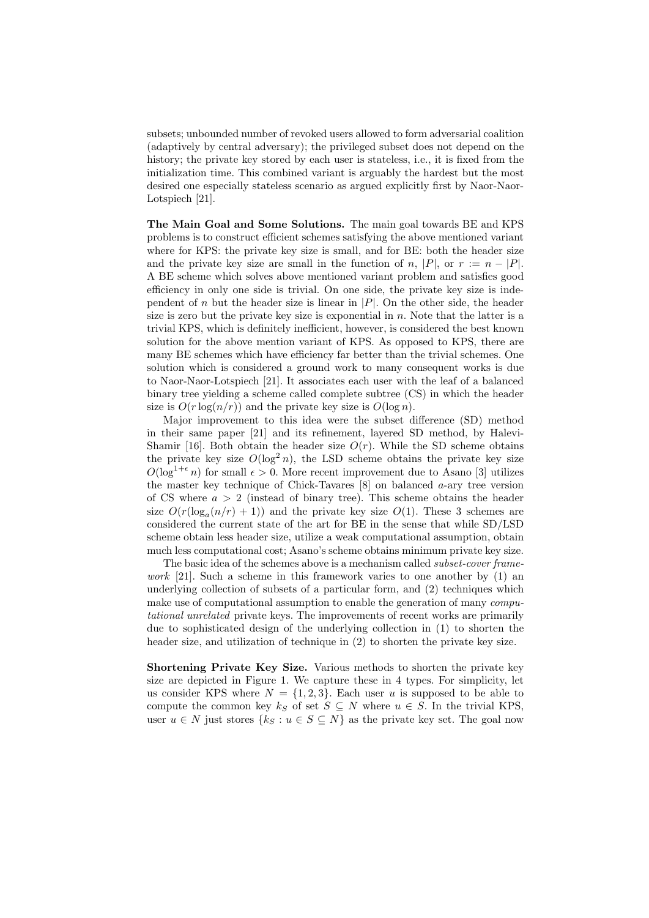subsets; unbounded number of revoked users allowed to form adversarial coalition (adaptively by central adversary); the privileged subset does not depend on the history; the private key stored by each user is stateless, i.e., it is fixed from the initialization time. This combined variant is arguably the hardest but the most desired one especially stateless scenario as argued explicitly first by Naor-Naor-Lotspiech [21].

The Main Goal and Some Solutions. The main goal towards BE and KPS problems is to construct efficient schemes satisfying the above mentioned variant where for KPS: the private key size is small, and for BE: both the header size and the private key size are small in the function of n, |P|, or  $r := n - |P|$ . A BE scheme which solves above mentioned variant problem and satisfies good efficiency in only one side is trivial. On one side, the private key size is independent of n but the header size is linear in  $|P|$ . On the other side, the header size is zero but the private key size is exponential in  $n$ . Note that the latter is a trivial KPS, which is definitely inefficient, however, is considered the best known solution for the above mention variant of KPS. As opposed to KPS, there are many BE schemes which have efficiency far better than the trivial schemes. One solution which is considered a ground work to many consequent works is due to Naor-Naor-Lotspiech [21]. It associates each user with the leaf of a balanced binary tree yielding a scheme called complete subtree (CS) in which the header size is  $O(r \log(n/r))$  and the private key size is  $O(\log n)$ .

Major improvement to this idea were the subset difference (SD) method in their same paper [21] and its refinement, layered SD method, by Halevi-Shamir [16]. Both obtain the header size  $O(r)$ . While the SD scheme obtains the private key size  $O(\log^2 n)$ , the LSD scheme obtains the private key size  $O(\log^{1+\epsilon} n)$  for small  $\epsilon > 0$ . More recent improvement due to Asano [3] utilizes the master key technique of Chick-Tavares  $[8]$  on balanced a-ary tree version of CS where  $a > 2$  (instead of binary tree). This scheme obtains the header size  $O(r(\log_a(n/r) + 1))$  and the private key size  $O(1)$ . These 3 schemes are considered the current state of the art for BE in the sense that while SD/LSD scheme obtain less header size, utilize a weak computational assumption, obtain much less computational cost; Asano's scheme obtains minimum private key size.

The basic idea of the schemes above is a mechanism called *subset-cover framework* [21]. Such a scheme in this framework varies to one another by  $(1)$  an underlying collection of subsets of a particular form, and (2) techniques which make use of computational assumption to enable the generation of many *compu*tational unrelated private keys. The improvements of recent works are primarily due to sophisticated design of the underlying collection in (1) to shorten the header size, and utilization of technique in (2) to shorten the private key size.

Shortening Private Key Size. Various methods to shorten the private key size are depicted in Figure 1. We capture these in 4 types. For simplicity, let us consider KPS where  $N = \{1, 2, 3\}$ . Each user u is supposed to be able to compute the common key  $k_S$  of set  $S \subseteq N$  where  $u \in S$ . In the trivial KPS, user  $u \in N$  just stores  $\{k_S : u \in S \subseteq N\}$  as the private key set. The goal now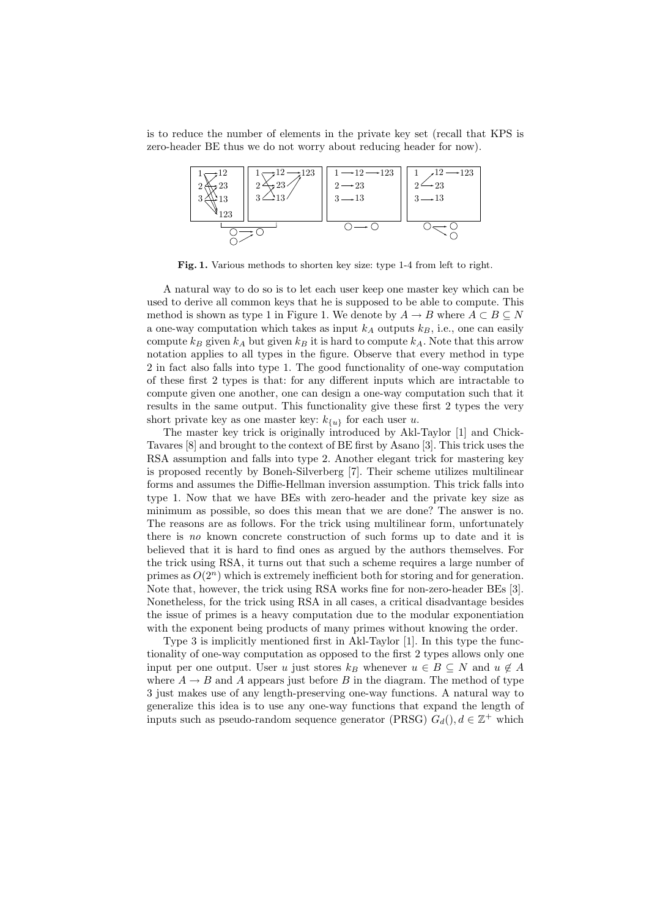is to reduce the number of elements in the private key set (recall that KPS is zero-header BE thus we do not worry about reducing header for now).



Fig. 1. Various methods to shorten key size: type 1-4 from left to right.

A natural way to do so is to let each user keep one master key which can be used to derive all common keys that he is supposed to be able to compute. This method is shown as type 1 in Figure 1. We denote by  $A \to B$  where  $A \subset B \subseteq N$ a one-way computation which takes as input  $k_A$  outputs  $k_B$ , i.e., one can easily compute  $k_B$  given  $k_A$  but given  $k_B$  it is hard to compute  $k_A$ . Note that this arrow notation applies to all types in the figure. Observe that every method in type 2 in fact also falls into type 1. The good functionality of one-way computation of these first 2 types is that: for any different inputs which are intractable to compute given one another, one can design a one-way computation such that it results in the same output. This functionality give these first 2 types the very short private key as one master key:  $k_{\{u\}}$  for each user u.

The master key trick is originally introduced by Akl-Taylor [1] and Chick-Tavares [8] and brought to the context of BE first by Asano [3]. This trick uses the RSA assumption and falls into type 2. Another elegant trick for mastering key is proposed recently by Boneh-Silverberg [7]. Their scheme utilizes multilinear forms and assumes the Diffie-Hellman inversion assumption. This trick falls into type 1. Now that we have BEs with zero-header and the private key size as minimum as possible, so does this mean that we are done? The answer is no. The reasons are as follows. For the trick using multilinear form, unfortunately there is no known concrete construction of such forms up to date and it is believed that it is hard to find ones as argued by the authors themselves. For the trick using RSA, it turns out that such a scheme requires a large number of primes as  $O(2^n)$  which is extremely inefficient both for storing and for generation. Note that, however, the trick using RSA works fine for non-zero-header BEs [3]. Nonetheless, for the trick using RSA in all cases, a critical disadvantage besides the issue of primes is a heavy computation due to the modular exponentiation with the exponent being products of many primes without knowing the order.

Type 3 is implicitly mentioned first in Akl-Taylor [1]. In this type the functionality of one-way computation as opposed to the first 2 types allows only one input per one output. User u just stores  $k_B$  whenever  $u \in B \subseteq N$  and  $u \notin A$ where  $A \rightarrow B$  and A appears just before B in the diagram. The method of type 3 just makes use of any length-preserving one-way functions. A natural way to generalize this idea is to use any one-way functions that expand the length of inputs such as pseudo-random sequence generator (PRSG)  $G_d()$ ,  $d \in \mathbb{Z}^+$  which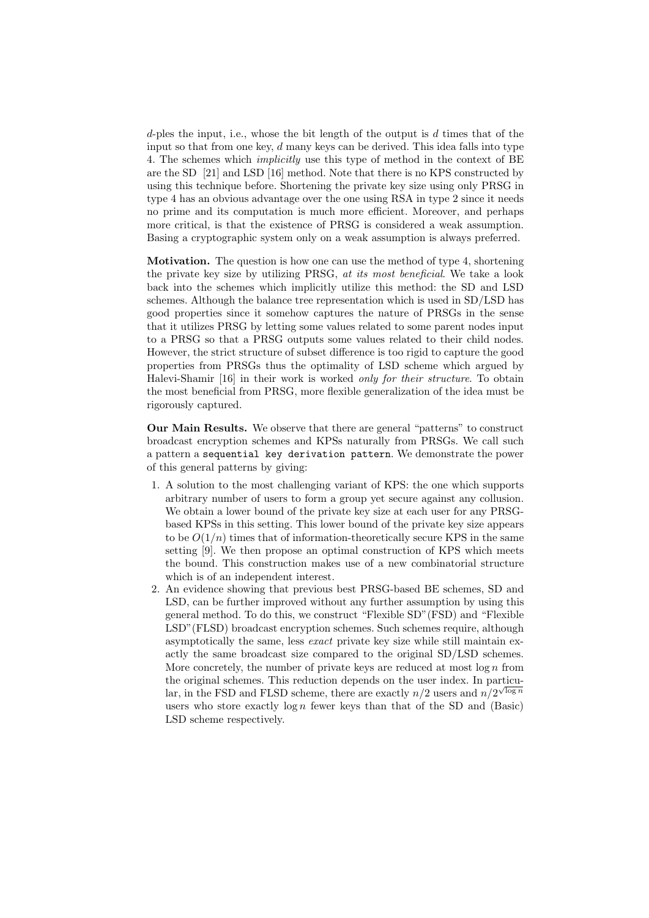d-ples the input, i.e., whose the bit length of the output is  $d$  times that of the input so that from one key,  $d$  many keys can be derived. This idea falls into type 4. The schemes which implicitly use this type of method in the context of BE are the SD [21] and LSD [16] method. Note that there is no KPS constructed by using this technique before. Shortening the private key size using only PRSG in type 4 has an obvious advantage over the one using RSA in type 2 since it needs no prime and its computation is much more efficient. Moreover, and perhaps more critical, is that the existence of PRSG is considered a weak assumption. Basing a cryptographic system only on a weak assumption is always preferred.

**Motivation.** The question is how one can use the method of type 4, shortening the private key size by utilizing PRSG, at its most beneficial. We take a look back into the schemes which implicitly utilize this method: the SD and LSD schemes. Although the balance tree representation which is used in SD/LSD has good properties since it somehow captures the nature of PRSGs in the sense that it utilizes PRSG by letting some values related to some parent nodes input to a PRSG so that a PRSG outputs some values related to their child nodes. However, the strict structure of subset difference is too rigid to capture the good properties from PRSGs thus the optimality of LSD scheme which argued by Halevi-Shamir [16] in their work is worked only for their structure. To obtain the most beneficial from PRSG, more flexible generalization of the idea must be rigorously captured.

Our Main Results. We observe that there are general "patterns" to construct broadcast encryption schemes and KPSs naturally from PRSGs. We call such a pattern a sequential key derivation pattern. We demonstrate the power of this general patterns by giving:

- 1. A solution to the most challenging variant of KPS: the one which supports arbitrary number of users to form a group yet secure against any collusion. We obtain a lower bound of the private key size at each user for any PRSGbased KPSs in this setting. This lower bound of the private key size appears to be  $O(1/n)$  times that of information-theoretically secure KPS in the same setting [9]. We then propose an optimal construction of KPS which meets the bound. This construction makes use of a new combinatorial structure which is of an independent interest.
- 2. An evidence showing that previous best PRSG-based BE schemes, SD and LSD, can be further improved without any further assumption by using this general method. To do this, we construct "Flexible SD"(FSD) and "Flexible LSD"(FLSD) broadcast encryption schemes. Such schemes require, although asymptotically the same, less exact private key size while still maintain exactly the same broadcast size compared to the original SD/LSD schemes. More concretely, the number of private keys are reduced at most  $\log n$  from the original schemes. This reduction depends on the user index. In particular, in the FSD and FLSD scheme, there are exactly  $n/2$  users and  $n/2^{\sqrt{\log n}}$ users who store exactly  $\log n$  fewer keys than that of the SD and (Basic) LSD scheme respectively.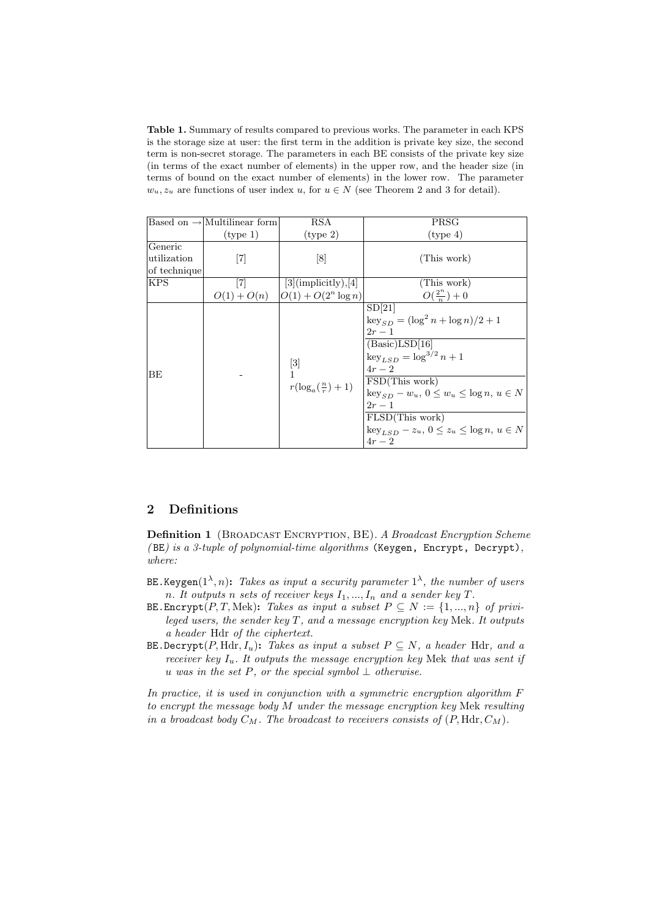Table 1. Summary of results compared to previous works. The parameter in each KPS is the storage size at user: the first term in the addition is private key size, the second term is non-secret storage. The parameters in each BE consists of the private key size (in terms of the exact number of elements) in the upper row, and the header size (in terms of bound on the exact number of elements) in the lower row. The parameter  $w_u, z_u$  are functions of user index u, for  $u \in N$  (see Theorem 2 and 3 for detail).

|              | Based on $\rightarrow$ Multilinear form | $_{\rm RSA}$                                                                                                                                                                                  | PRSG                                                                                                                                                                                                                                                                                                                               |
|--------------|-----------------------------------------|-----------------------------------------------------------------------------------------------------------------------------------------------------------------------------------------------|------------------------------------------------------------------------------------------------------------------------------------------------------------------------------------------------------------------------------------------------------------------------------------------------------------------------------------|
|              | (type 1)                                | (type 2)                                                                                                                                                                                      | (type 4)                                                                                                                                                                                                                                                                                                                           |
| Generic      |                                         |                                                                                                                                                                                               |                                                                                                                                                                                                                                                                                                                                    |
| utilization  | [7]                                     | [8]                                                                                                                                                                                           | (This work)                                                                                                                                                                                                                                                                                                                        |
| of technique |                                         |                                                                                                                                                                                               |                                                                                                                                                                                                                                                                                                                                    |
| <b>KPS</b>   | [7]                                     | $[3]$ (implicitly), $[4]$                                                                                                                                                                     | (This work)                                                                                                                                                                                                                                                                                                                        |
|              | $O(1) + O(n)$                           | $ O(1) + O(2^n \log n) $                                                                                                                                                                      | $O(\frac{2^n}{n})+0$                                                                                                                                                                                                                                                                                                               |
| ΒE           |                                         | $[3] % \includegraphics[width=0.9\columnwidth]{figures/fig_1a} \caption{Schematic diagram of the top of the top of the top of the right.} \label{fig:1} %$<br>1<br>$r(\log_a(\frac{n}{r})+1)$ | SD[21]<br>$\text{key}_{SD} = (\log^2 n + \log n)/2 + 1$<br>$2r-1$<br>(Basic)LSD[16]<br>$\log_{LSD} = \log^{3/2} n + 1$<br>$4r-2$<br>$\text{FSD}(\text{This work})$<br>$\text{key}_{SD} - w_u, 0 \leq w_u \leq \log n, u \in N$<br>$2r-1$<br>FLSD(This work)<br>$\text{key}_{LSD} - z_u, 0 \leq z_u \leq \log n, u \in N$<br>$4r-2$ |

# 2 Definitions

Definition 1 (Broadcast Encryption, BE). A Broadcast Encryption Scheme ( BE) is a 3-tuple of polynomial-time algorithms (Keygen, Encrypt, Decrypt), where:

- BE.Keygen( $1^{\lambda}, n$ ): Takes as input a security parameter  $1^{\lambda}$ , the number of users n. It outputs n sets of receiver keys  $I_1, ..., I_n$  and a sender key T.
- BE.Encrypt(P, T, Mek): Takes as input a subset  $P \subseteq N := \{1, ..., n\}$  of privileged users, the sender key  $T$ , and a message encryption key Mek. It outputs a header Hdr of the ciphertext.
- BE.Decrypt(P, Hdr,  $I_u$ ): Takes as input a subset  $P \subseteq N$ , a header Hdr, and a receiver key  $I_u$ . It outputs the message encryption key Mek that was sent if u was in the set P, or the special symbol  $\perp$  otherwise.

In practice, it is used in conjunction with a symmetric encryption algorithm F to encrypt the message body M under the message encryption key Mek resulting in a broadcast body  $C_M$ . The broadcast to receivers consists of  $(P, \text{Hdr}, C_M)$ .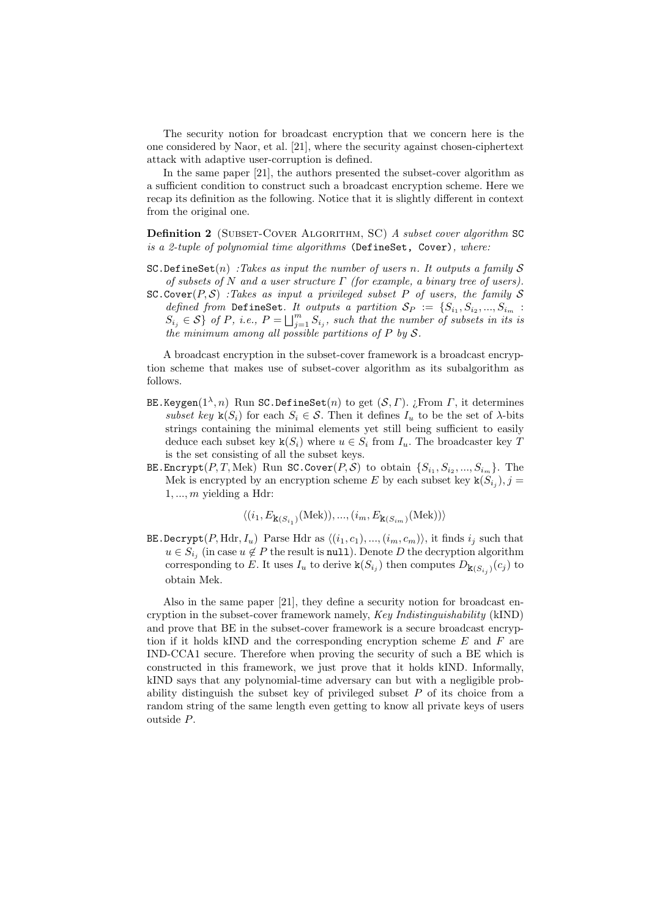The security notion for broadcast encryption that we concern here is the one considered by Naor, et al. [21], where the security against chosen-ciphertext attack with adaptive user-corruption is defined.

In the same paper [21], the authors presented the subset-cover algorithm as a sufficient condition to construct such a broadcast encryption scheme. Here we recap its definition as the following. Notice that it is slightly different in context from the original one.

Definition 2 (SUBSET-COVER ALGORITHM, SC) A subset cover algorithm SC is a 2-tuple of polynomial time algorithms (DefineSet, Cover), where:

- SC.DefineSet $(n)$ : Takes as input the number of users n. It outputs a family S of subsets of N and a user structure  $\Gamma$  (for example, a binary tree of users).
- SC.Cover $(P, S)$  : Takes as input a privileged subset P of users, the family S defined from DefineSet. It outputs a partition  $S_P := \{S_{i_1}, S_{i_2}, ..., S_{i_m}$ : defined from Definieset. It outputs a partition  $S_p := \{S_{i_1}, S_{i_2}, ..., S_{i_m}\}$ <br> $S_{i_j} \in S$  of P, i.e.,  $P = \bigsqcup_{j=1}^m S_{i_j}$ , such that the number of subsets in its is the minimum among all possible partitions of  $P$  by  $S$ .

A broadcast encryption in the subset-cover framework is a broadcast encryption scheme that makes use of subset-cover algorithm as its subalgorithm as follows.

- BE.Keygen $(1^{\lambda}, n)$  Run SC.DefineSet $(n)$  to get  $(\mathcal{S}, \Gamma)$ . ¿From  $\Gamma$ , it determines subset key  $\mathsf{k}(S_i)$  for each  $S_i \in \mathcal{S}$ . Then it defines  $I_u$  to be the set of  $\lambda$ -bits strings containing the minimal elements yet still being sufficient to easily deduce each subset key  $\mathbf{k}(S_i)$  where  $u \in S_i$  from  $I_u$ . The broadcaster key T is the set consisting of all the subset keys.
- BE.Encrypt $(P, T, \text{Mek})$  Run SC.Cover $(P, S)$  to obtain  $\{S_{i_1}, S_{i_2}, ..., S_{i_m}\}$ . The Mek is encrypted by an encryption scheme E by each subset key  $\mathsf{k}(S_{i_j}), j =$  $1, \ldots, m$  yielding a Hdr:

$$
\langle (i_1, E_{\mathbf{k}(S_{i_1})}(\textrm{Mek})), ..., (i_m, E_{\mathbf{k}(S_{im})}(\textrm{Mek})) \rangle
$$

BE.Decrypt(P, Hdr,  $I_u$ ) Parse Hdr as  $\langle (i_1, c_1), ..., (i_m, c_m) \rangle$ , it finds  $i_j$  such that  $u \in S_{i_j}$  (in case  $u \notin P$  the result is **null**). Denote D the decryption algorithm corresponding to E. It uses  $I_u$  to derive  $\mathsf{k}(S_{i_j})$  then computes  $D_{\mathbf{k}(S_{i_j})}(c_j)$  to obtain Mek.

Also in the same paper [21], they define a security notion for broadcast encryption in the subset-cover framework namely,  $Key Indistinguishability$  (kIND) and prove that BE in the subset-cover framework is a secure broadcast encryption if it holds kIND and the corresponding encryption scheme  $E$  and  $F$  are IND-CCA1 secure. Therefore when proving the security of such a BE which is constructed in this framework, we just prove that it holds kIND. Informally, kIND says that any polynomial-time adversary can but with a negligible probability distinguish the subset key of privileged subset  $P$  of its choice from a random string of the same length even getting to know all private keys of users outside P.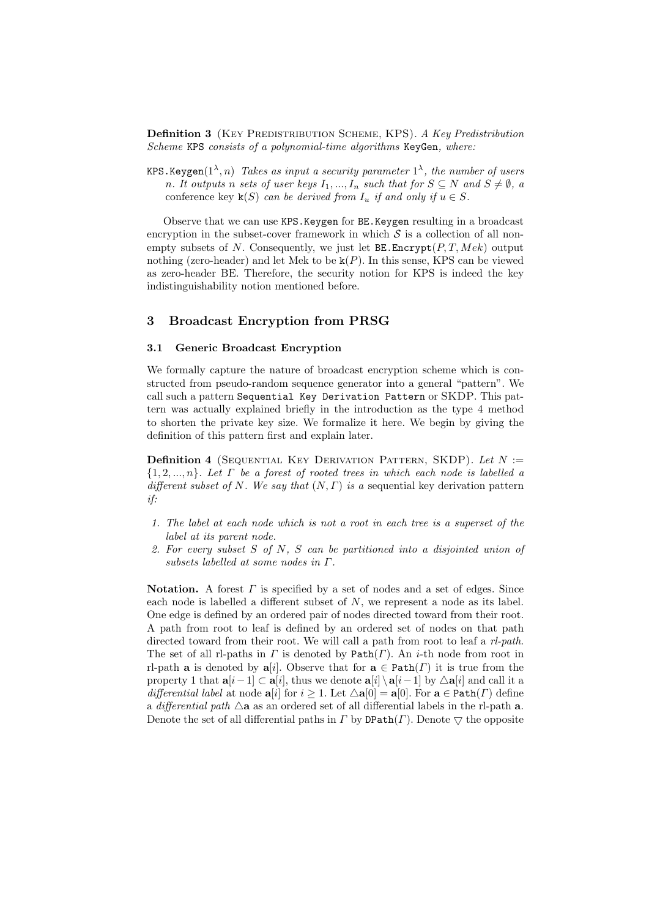**Definition 3** (KEY PREDISTRIBUTION SCHEME, KPS). A Key Predistribution Scheme KPS consists of a polynomial-time algorithms KeyGen, where:

KPS. Keygen $(1^{\lambda}, n)$  Takes as input a security parameter  $1^{\lambda}$ , the number of users n. It outputs n sets of user keys  $I_1, ..., I_n$  such that for  $S \subseteq N$  and  $S \neq \emptyset$ , a conference key  $\kappa(S)$  can be derived from  $I_u$  if and only if  $u \in S$ .

Observe that we can use KPS.Keygen for BE.Keygen resulting in a broadcast encryption in the subset-cover framework in which  $\mathcal S$  is a collection of all nonempty subsets of N. Consequently, we just let  $BE \text{.}$  Encrypt $(P, T, Mek)$  output nothing (zero-header) and let Mek to be  $\mathbf{k}(P)$ . In this sense, KPS can be viewed as zero-header BE. Therefore, the security notion for KPS is indeed the key indistinguishability notion mentioned before.

## 3 Broadcast Encryption from PRSG

### 3.1 Generic Broadcast Encryption

We formally capture the nature of broadcast encryption scheme which is constructed from pseudo-random sequence generator into a general "pattern". We call such a pattern Sequential Key Derivation Pattern or SKDP. This pattern was actually explained briefly in the introduction as the type 4 method to shorten the private key size. We formalize it here. We begin by giving the definition of this pattern first and explain later.

**Definition 4** (SEQUENTIAL KEY DERIVATION PATTERN, SKDP). Let  $N :=$  $\{1, 2, ..., n\}$ . Let  $\Gamma$  be a forest of rooted trees in which each node is labelled a different subset of N. We say that  $(N, \Gamma)$  is a sequential key derivation pattern if:

- 1. The label at each node which is not a root in each tree is a superset of the label at its parent node.
- 2. For every subset S of N, S can be partitioned into a disjointed union of subsets labelled at some nodes in Γ.

**Notation.** A forest  $\Gamma$  is specified by a set of nodes and a set of edges. Since each node is labelled a different subset of N, we represent a node as its label. One edge is defined by an ordered pair of nodes directed toward from their root. A path from root to leaf is defined by an ordered set of nodes on that path directed toward from their root. We will call a path from root to leaf a rl-path. The set of all rl-paths in  $\Gamma$  is denoted by Path( $\Gamma$ ). An i-th node from root in rl-path **a** is denoted by  $a[i]$ . Observe that for  $a \in \text{Path}(\Gamma)$  it is true from the property 1 that  $a[i-1] \subset a[i]$ , thus we denote  $a[i] \setminus a[i-1]$  by  $\triangle a[i]$  and call it a differential label at node  $a[i]$  for  $i \geq 1$ . Let  $\triangle a[0] = a[0]$ . For  $a \in \text{Path}(\Gamma)$  define a differential path  $\Delta$ **a** as an ordered set of all differential labels in the rl-path **a**. Denote the set of all differential paths in  $\Gamma$  by  $\text{DPath}(\Gamma)$ . Denote  $\bigtriangledown$  the opposite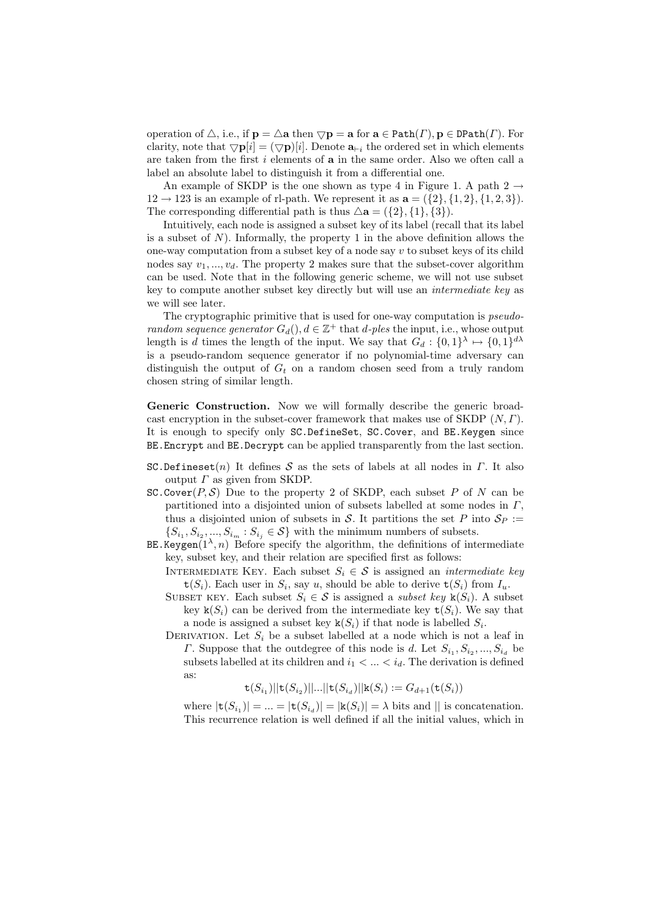operation of  $\triangle$ , i.e., if  $\mathbf{p} = \triangle \mathbf{a}$  then  $\nabla \mathbf{p} = \mathbf{a}$  for  $\mathbf{a} \in \text{Path}(\Gamma)$ ,  $\mathbf{p} \in \text{DPath}(\Gamma)$ . For clarity, note that  $\nabla \mathbf{p}[i] = (\nabla \mathbf{p})[i]$ . Denote  $\mathbf{a}_{\vdash i}$  the ordered set in which elements are taken from the first  $i$  elements of  $a$  in the same order. Also we often call a label an absolute label to distinguish it from a differential one.

An example of SKDP is the one shown as type 4 in Figure 1. A path  $2 \rightarrow$  $12 \to 123$  is an example of rl-path. We represent it as  $a = (\{2\}, \{1, 2\}, \{1, 2, 3\}).$ The corresponding differential path is thus  $\Delta \mathbf{a} = (\{2\}, \{1\}, \{3\}).$ 

Intuitively, each node is assigned a subset key of its label (recall that its label is a subset of  $N$ ). Informally, the property 1 in the above definition allows the one-way computation from a subset key of a node say  $v$  to subset keys of its child nodes say  $v_1, ..., v_d$ . The property 2 makes sure that the subset-cover algorithm can be used. Note that in the following generic scheme, we will not use subset key to compute another subset key directly but will use an intermediate key as we will see later.

The cryptographic primitive that is used for one-way computation is *pseudo*random sequence generator  $G_d()$ ,  $d \in \mathbb{Z}^+$  that d-ples the input, i.e., whose output length is d times the length of the input. We say that  $G_d: \{0,1\}^{\lambda} \mapsto \{0,1\}^{d\lambda}$ is a pseudo-random sequence generator if no polynomial-time adversary can distinguish the output of  $G_t$  on a random chosen seed from a truly random chosen string of similar length.

Generic Construction. Now we will formally describe the generic broadcast encryption in the subset-cover framework that makes use of SKDP  $(N, \Gamma)$ . It is enough to specify only SC.DefineSet, SC.Cover, and BE.Keygen since BE.Encrypt and BE.Decrypt can be applied transparently from the last section.

- SC.Defineset(n) It defines S as the sets of labels at all nodes in  $\Gamma$ . It also output  $\Gamma$  as given from SKDP.
- SC.Cover $(P, S)$  Due to the property 2 of SKDP, each subset P of N can be partitioned into a disjointed union of subsets labelled at some nodes in  $\Gamma$ , thus a disjointed union of subsets in S. It partitions the set P into  $\mathcal{S}_P$  :=  $\{S_{i_1}, S_{i_2}, ..., S_{i_m} : S_{i_j} \in \mathcal{S}\}\$  with the minimum numbers of subsets.
- BE. Keygen $(1^{\lambda}, n)$  Before specify the algorithm, the definitions of intermediate key, subset key, and their relation are specified first as follows:
	- INTERMEDIATE KEY. Each subset  $S_i \in \mathcal{S}$  is assigned an *intermediate key*  $\mathsf{t}(S_i)$ . Each user in  $S_i$ , say u, should be able to derive  $\mathsf{t}(S_i)$  from  $I_u$ .
	- SUBSET KEY. Each subset  $S_i \in \mathcal{S}$  is assigned a *subset key*  $\mathsf{k}(S_i)$ . A subset key  $k(S_i)$  can be derived from the intermediate key  $\mathbf{t}(S_i)$ . We say that a node is assigned a subset key  $\mathsf{k}(S_i)$  if that node is labelled  $S_i$ .
	- DERIVATION. Let  $S_i$  be a subset labelled at a node which is not a leaf in *Γ*. Suppose that the outdegree of this node is *d*. Let  $S_{i_1}, S_{i_2},..., S_{i_d}$  be subsets labelled at its children and  $i_1 < \ldots < i_d$  . The derivation is defined as:

 $\mathsf{t}(S_{i_1})||\mathsf{t}(S_{i_2})||...||\mathsf{t}(S_{i_d})||\mathtt{k}(S_i):=G_{d+1}(\mathsf{t}(S_i))$ 

where  $|\mathbf{t}(S_{i_1})| = ... = |\mathbf{t}(S_{i_d})| = |\mathbf{k}(S_i)| = \lambda$  bits and  $\|\$ is concatenation. This recurrence relation is well defined if all the initial values, which in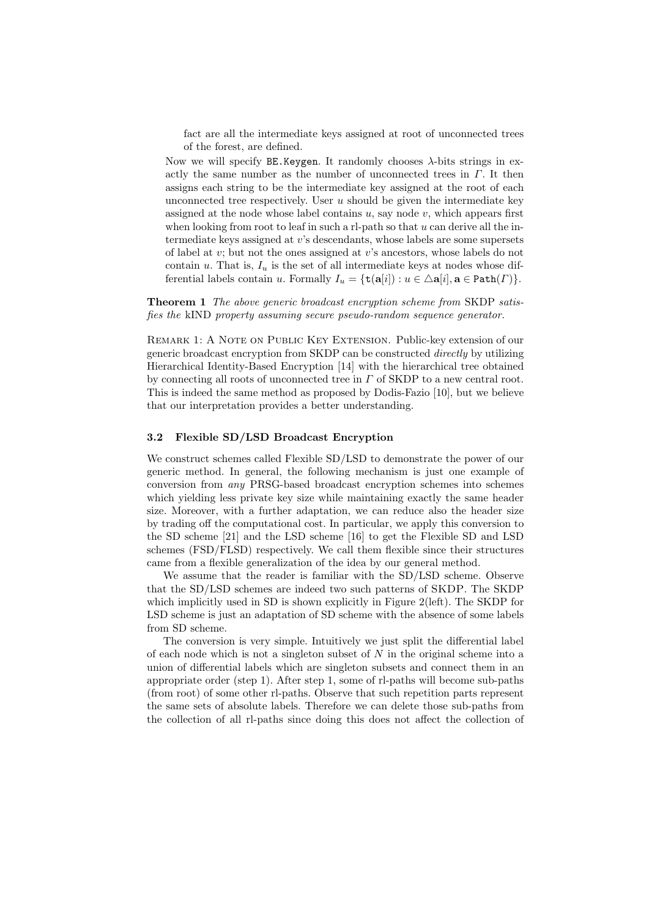fact are all the intermediate keys assigned at root of unconnected trees of the forest, are defined.

Now we will specify BE. Keygen. It randomly chooses  $\lambda$ -bits strings in exactly the same number as the number of unconnected trees in  $\Gamma$ . It then assigns each string to be the intermediate key assigned at the root of each unconnected tree respectively. User  $u$  should be given the intermediate key assigned at the node whose label contains  $u$ , say node  $v$ , which appears first when looking from root to leaf in such a rl-path so that  $u$  can derive all the intermediate keys assigned at v's descendants, whose labels are some supersets of label at v; but not the ones assigned at v's ancestors, whose labels do not contain u. That is,  $I_u$  is the set of all intermediate keys at nodes whose differential labels contain u. Formally  $I_u = {\tt t}({\bf a}[i]) : u \in \Delta {\bf a}[i], {\bf a} \in {\tt Path}(\Gamma)$ .

Theorem 1 The above generic broadcast encryption scheme from SKDP satisfies the kIND property assuming secure pseudo-random sequence generator.

Remark 1: A Note on Public Key Extension. Public-key extension of our generic broadcast encryption from SKDP can be constructed directly by utilizing Hierarchical Identity-Based Encryption [14] with the hierarchical tree obtained by connecting all roots of unconnected tree in  $\Gamma$  of SKDP to a new central root. This is indeed the same method as proposed by Dodis-Fazio [10], but we believe that our interpretation provides a better understanding.

### 3.2 Flexible SD/LSD Broadcast Encryption

We construct schemes called Flexible SD/LSD to demonstrate the power of our generic method. In general, the following mechanism is just one example of conversion from any PRSG-based broadcast encryption schemes into schemes which yielding less private key size while maintaining exactly the same header size. Moreover, with a further adaptation, we can reduce also the header size by trading off the computational cost. In particular, we apply this conversion to the SD scheme [21] and the LSD scheme [16] to get the Flexible SD and LSD schemes (FSD/FLSD) respectively. We call them flexible since their structures came from a flexible generalization of the idea by our general method.

We assume that the reader is familiar with the SD/LSD scheme. Observe that the SD/LSD schemes are indeed two such patterns of SKDP. The SKDP which implicitly used in SD is shown explicitly in Figure 2(left). The SKDP for LSD scheme is just an adaptation of SD scheme with the absence of some labels from SD scheme.

The conversion is very simple. Intuitively we just split the differential label of each node which is not a singleton subset of  $N$  in the original scheme into a union of differential labels which are singleton subsets and connect them in an appropriate order (step 1). After step 1, some of rl-paths will become sub-paths (from root) of some other rl-paths. Observe that such repetition parts represent the same sets of absolute labels. Therefore we can delete those sub-paths from the collection of all rl-paths since doing this does not affect the collection of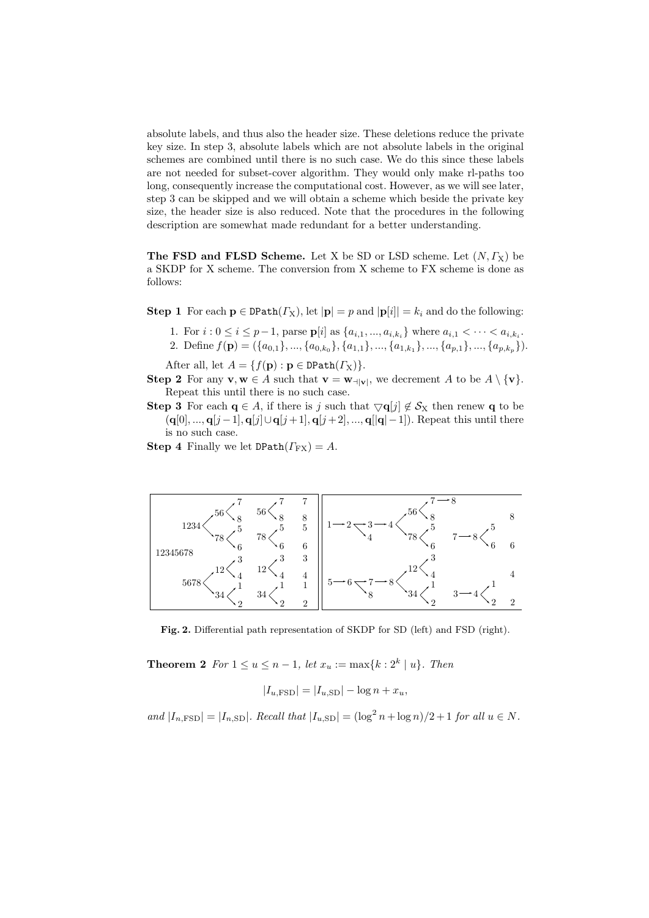absolute labels, and thus also the header size. These deletions reduce the private key size. In step 3, absolute labels which are not absolute labels in the original schemes are combined until there is no such case. We do this since these labels are not needed for subset-cover algorithm. They would only make rl-paths too long, consequently increase the computational cost. However, as we will see later, step 3 can be skipped and we will obtain a scheme which beside the private key size, the header size is also reduced. Note that the procedures in the following description are somewhat made redundant for a better understanding.

The FSD and FLSD Scheme. Let X be SD or LSD scheme. Let  $(N, \Gamma_X)$  be a SKDP for X scheme. The conversion from X scheme to FX scheme is done as follows:

Step 1 For each  $p \in \texttt{DPath}(\Gamma_X)$ , let  $|p| = p$  and  $|p[i]| = k_i$  and do the following:

1. For  $i: 0 \le i \le p-1$ , parse  $p[i]$  as  $\{a_{i,1},...,a_{i,k_i}\}\$  where  $a_{i,1} < \cdots < a_{i,k_i}$ . 2. Define  $f(\mathbf{p}) = (\{a_{0,1}\}, \ldots, \{a_{0,k_0}\}, \{a_{1,1}\}, \ldots, \{a_{1,k_1}\}, \ldots, \{a_{p,1}\}, \ldots, \{a_{p,k_p}\}).$ 

After all, let  $A = \{f(\mathbf{p}) : \mathbf{p} \in \texttt{DPath}(\Gamma_X)\}.$ 

**Step 2** For any  $\mathbf{v}, \mathbf{w} \in A$  such that  $\mathbf{v} = \mathbf{w}_{\mid |\mathbf{v}|\mid}$ , we decrement A to be  $A \setminus {\mathbf{v}}$ . Repeat this until there is no such case.

- **Step 3** For each  $q \in A$ , if there is j such that  $\forall q[j] \notin S_{X}$  then renew q to be  $(q[0], ..., q[j-1], q[j] \cup q[j+1], q[j+2], ..., q[|q|-1])$ . Repeat this until there is no such case.
- **Step 4** Finally we let  $\text{DPath}(F_{\text{FX}}) = A$ .



Fig. 2. Differential path representation of SKDP for SD (left) and FSD (right).

**Theorem 2** For  $1 \le u \le n - 1$ , let  $x_u := \max\{k : 2^k | u\}$ . Then

$$
|I_{u,\text{FSD}}| = |I_{u,\text{SD}}| - \log n + x_u,
$$

and  $|I_{n,\text{FSD}}| = |I_{n,\text{SD}}|$ . Recall that  $|I_{u,\text{SD}}| = (\log^2 n + \log n)/2 + 1$  for all  $u \in N$ .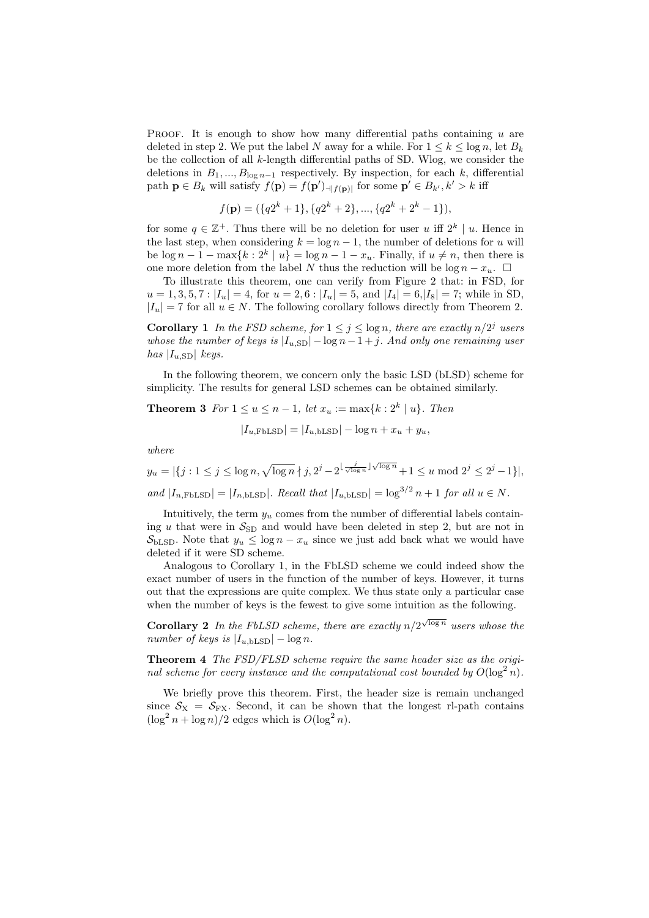**PROOF.** It is enough to show how many differential paths containing  $u$  are deleted in step 2. We put the label N away for a while. For  $1 \leq k \leq \log n$ , let  $B_k$ be the collection of all  $k$ -length differential paths of SD. Wlog, we consider the deletions in  $B_1, ..., B_{\log n-1}$  respectively. By inspection, for each k, differential path  $\mathbf{p} \in B_k$  will satisfy  $f(\mathbf{p}) = f(\mathbf{p}')_{\lfloor f(\mathbf{p}) \rfloor}$  for some  $\mathbf{p}' \in B_{k'}$ ,  $k' > k$  iff

$$
f(\mathbf{p}) = (\{q2^k + 1\}, \{q2^k + 2\}, \dots, \{q2^k + 2^k - 1\}),
$$

for some  $q \in \mathbb{Z}^+$ . Thus there will be no deletion for user u iff  $2^k \mid u$ . Hence in the last step, when considering  $k = \log n - 1$ , the number of deletions for u will be  $\log n - 1 - \max\{k : 2^k \mid u\} = \log n - 1 - x_u$ . Finally, if  $u \neq n$ , then there is one more deletion from the label N thus the reduction will be  $\log n - x_u$ .  $\Box$ 

To illustrate this theorem, one can verify from Figure 2 that: in FSD, for  $u = 1, 3, 5, 7 : |I_u| = 4$ , for  $u = 2, 6 : |I_u| = 5$ , and  $|I_4| = 6, |I_8| = 7$ ; while in SD,  $|I_u| = 7$  for all  $u \in N$ . The following corollary follows directly from Theorem 2.

**Corollary 1** In the FSD scheme, for  $1 \leq j \leq \log n$ , there are exactly  $n/2^j$  users whose the number of keys is  $|I_{u,\text{SD}}| - \log n - 1 + j$ . And only one remaining user has  $|I_{u,\text{SD}}|$  keys.

In the following theorem, we concern only the basic LSD (bLSD) scheme for simplicity. The results for general LSD schemes can be obtained similarly.

**Theorem 3** For  $1 \le u \le n-1$ , let  $x_u := \max\{k : 2^k \mid u\}$ . Then

$$
|I_{u,\text{FbLSD}}| = |I_{u,\text{bLSD}}| - \log n + x_u + y_u,
$$

where

 $y_u = |\{j : 1 \le j \le \log n, \sqrt{\log n} \nmid j, 2^j - 2^{\lfloor \frac{j}{\sqrt{\log n}} \rfloor \sqrt{\log n}} + 1 \le u \bmod 2^j \le 2^j - 1\}|,$ and  $|I_{n,\text{FbLSD}}| = |I_{n,\text{bLSD}}|$ . Recall that  $|I_{u,\text{bLSD}}| = \log^{3/2} n + 1$  for all  $u \in N$ .

Intuitively, the term  $y_u$  comes from the number of differential labels containing u that were in  $S_{SD}$  and would have been deleted in step 2, but are not in  $\mathcal{S}_{\text{bLSD}}$ . Note that  $y_u \leq \log n - x_u$  since we just add back what we would have deleted if it were SD scheme.

Analogous to Corollary 1, in the FbLSD scheme we could indeed show the exact number of users in the function of the number of keys. However, it turns out that the expressions are quite complex. We thus state only a particular case when the number of keys is the fewest to give some intuition as the following.

**Corollary 2** In the FbLSD scheme, there are exactly  $n/2^{\sqrt{\log n}}$  users whose the number of keys is  $|I_{u,\text{bLSD}}| - \log n$ .

Theorem 4 The FSD/FLSD scheme require the same header size as the original scheme for every instance and the computational cost bounded by  $O(\log^2 n)$ .

We briefly prove this theorem. First, the header size is remain unchanged since  $S_X = S_{FX}$ . Second, it can be shown that the longest rl-path contains  $(\log^2 n + \log n)/2$  edges which is  $O(\log^2 n)$ .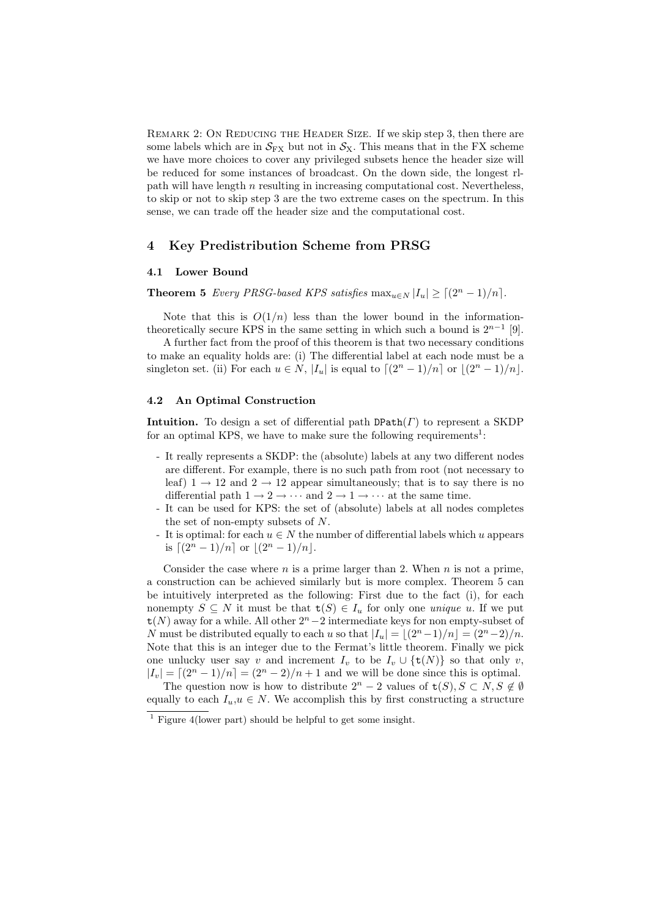REMARK 2: ON REDUCING THE HEADER SIZE. If we skip step 3, then there are some labels which are in  $\mathcal{S}_{\mathrm{FX}}$  but not in  $\mathcal{S}_{\mathrm{X}}$ . This means that in the FX scheme we have more choices to cover any privileged subsets hence the header size will be reduced for some instances of broadcast. On the down side, the longest rlpath will have length n resulting in increasing computational cost. Nevertheless, to skip or not to skip step 3 are the two extreme cases on the spectrum. In this sense, we can trade off the header size and the computational cost.

# 4 Key Predistribution Scheme from PRSG

## 4.1 Lower Bound

**Theorem 5** Every PRSG-based KPS satisfies  $\max_{u \in N} |I_u| \geq [(2^n - 1)/n]$ .

Note that this is  $O(1/n)$  less than the lower bound in the informationtheoretically secure KPS in the same setting in which such a bound is  $2^{n-1}$  [9].

A further fact from the proof of this theorem is that two necessary conditions to make an equality holds are: (i) The differential label at each node must be a singleton set. (ii) For each  $u \in N$ ,  $|I_u|$  is equal to  $\lceil (2^n - 1)/n \rceil$  or  $\lceil (2^n - 1)/n \rceil$ .

# 4.2 An Optimal Construction

Intuition. To design a set of differential path  $DPath(\Gamma)$  to represent a SKDP for an optimal KPS, we have to make sure the following requirements<sup>1</sup>:

- It really represents a SKDP: the (absolute) labels at any two different nodes are different. For example, there is no such path from root (not necessary to leaf)  $1 \rightarrow 12$  and  $2 \rightarrow 12$  appear simultaneously; that is to say there is no differential path  $1 \rightarrow 2 \rightarrow \cdots$  and  $2 \rightarrow 1 \rightarrow \cdots$  at the same time.
- It can be used for KPS: the set of (absolute) labels at all nodes completes the set of non-empty subsets of N.
- It is optimal: for each  $u \in N$  the number of differential labels which u appears is  $\lceil (2^n - 1)/n \rceil$  or  $\lceil (2^n - 1)/n \rceil$ .

Consider the case where  $n$  is a prime larger than 2. When  $n$  is not a prime, a construction can be achieved similarly but is more complex. Theorem 5 can be intuitively interpreted as the following: First due to the fact (i), for each nonempty  $S \subseteq N$  it must be that  $\mathsf{t}(S) \in I_u$  for only one *unique u*. If we put  $t(N)$  away for a while. All other  $2<sup>n</sup> - 2$  intermediate keys for non empty-subset of N must be distributed equally to each u so that  $|I_u| = \lfloor (2^n-1)/n \rfloor = (2^n-2)/n$ . Note that this is an integer due to the Fermat's little theorem. Finally we pick one unlucky user say v and increment  $I_v$  to be  $I_v \cup \{t(N)\}\$  so that only v,  $|I_v| = [(2^n - 1)/n] = (2^n - 2)/n + 1$  and we will be done since this is optimal. The question now is how to distribute  $2^{n} - 2$  values of  $\mathsf{t}(S), S \subset N, S \notin \emptyset$ equally to each  $I_u, u \in N$ . We accomplish this by first constructing a structure

<sup>&</sup>lt;sup>1</sup> Figure 4(lower part) should be helpful to get some insight.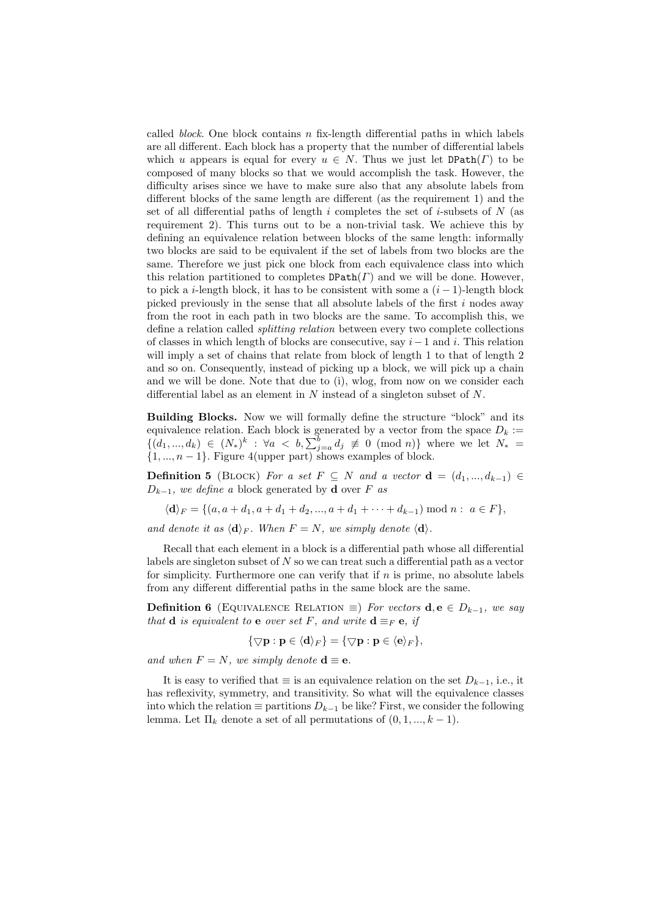called *block*. One block contains n fix-length differential paths in which labels are all different. Each block has a property that the number of differential labels which u appears is equal for every  $u \in N$ . Thus we just let  $\texttt{DPath}(\Gamma)$  to be composed of many blocks so that we would accomplish the task. However, the difficulty arises since we have to make sure also that any absolute labels from different blocks of the same length are different (as the requirement 1) and the set of all differential paths of length  $i$  completes the set of  $i$ -subsets of  $N$  (as requirement 2). This turns out to be a non-trivial task. We achieve this by defining an equivalence relation between blocks of the same length: informally two blocks are said to be equivalent if the set of labels from two blocks are the same. Therefore we just pick one block from each equivalence class into which this relation partitioned to completes  $DPath(\Gamma)$  and we will be done. However, to pick a *i*-length block, it has to be consistent with some a  $(i - 1)$ -length block picked previously in the sense that all absolute labels of the first  $i$  nodes away from the root in each path in two blocks are the same. To accomplish this, we define a relation called *splitting relation* between every two complete collections of classes in which length of blocks are consecutive, say  $i-1$  and i. This relation will imply a set of chains that relate from block of length 1 to that of length 2 and so on. Consequently, instead of picking up a block, we will pick up a chain and we will be done. Note that due to (i), wlog, from now on we consider each differential label as an element in  $N$  instead of a singleton subset of  $N$ .

Building Blocks. Now we will formally define the structure "block" and its equivalence relation. Each block is generated by a vector from the space  $D_k :=$ equivalence relation. Each block is generated by a vector from the space  $D_k := \{(d_1, ..., d_k) \in (N_*)^k : \forall a < b, \sum_{j=a}^b d_j \not\equiv 0 \pmod{n}\}$  where we let  $N_* =$  $\{1, ..., n-1\}$ . Figure 4(upper part) shows examples of block.

**Definition 5** (BLOCK) For a set  $F \subseteq N$  and a vector  $\mathbf{d} = (d_1, ..., d_{k-1}) \in$  $D_{k-1}$ , we define a block generated by **d** over F as

 $\langle \mathbf{d} \rangle_F = \{(a, a + d_1, a + d_1 + d_2, ..., a + d_1 + \cdots + d_{k-1}) \bmod n : a \in F\},\$ 

and denote it as  $\langle \mathbf{d} \rangle_F$ . When  $F = N$ , we simply denote  $\langle \mathbf{d} \rangle$ .

Recall that each element in a block is a differential path whose all differential labels are singleton subset of N so we can treat such a differential path as a vector for simplicity. Furthermore one can verify that if  $n$  is prime, no absolute labels from any different differential paths in the same block are the same.

**Definition 6** (EQUIVALENCE RELATION  $\equiv$ ) For vectors  $\mathbf{d}, \mathbf{e} \in D_{k-1}$ , we say that **d** is equivalent to **e** over set F, and write  $\mathbf{d} \equiv_F \mathbf{e}$ , if

$$
\{\bigtriangledown \mathbf{p}: \mathbf{p}\in \langle \mathbf{d} \rangle_F\}=\{\bigtriangledown \mathbf{p}: \mathbf{p}\in \langle \mathbf{e} \rangle_F\},
$$

and when  $F = N$ , we simply denote  $\mathbf{d} \equiv \mathbf{e}$ .

It is easy to verified that  $\equiv$  is an equivalence relation on the set  $D_{k-1}$ , i.e., it has reflexivity, symmetry, and transitivity. So what will the equivalence classes into which the relation  $\equiv$  partitions  $D_{k-1}$  be like? First, we consider the following lemma. Let  $\Pi_k$  denote a set of all permutations of  $(0, 1, ..., k - 1)$ .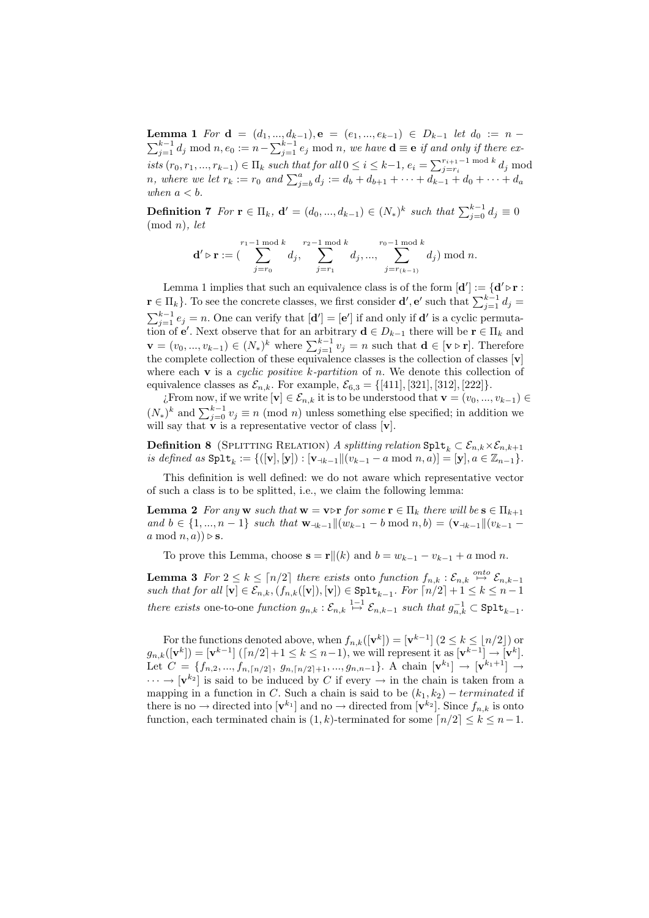**Lemma 1** For  $\mathbf{d} = (d_1, ..., d_{k-1}), \mathbf{e} = (e_1, ..., e_{k-1}) \in D_{k-1}$  let  $d_0 := n - \sum_{j=1}^{k-1} d_j \mod n, e_0 := n - \sum_{j=1}^{k-1} e_j \mod n$ , we have  $\mathbf{d} \equiv \mathbf{e}$  if and only if there ex- $\sum_{j=1}^{n} f_{j} = \sum_{j=1}^{n} g_{j}$  ists  $(r_{0}, r_{1}, ..., r_{k-1}) \in \Pi_{k}$  such that for all  $0 \leq i \leq k-1$ ,  $e_{i} = \sum_{j=r_{i}}^{r_{i+1}-1} \mod k$ ists  $(r_0, r_1, ..., r_{k-1}) \in \Pi_k$  such that for all  $0 \le i \le k-1$ ,  $e_i = \sum_{j=r_i}^{r_{i+1}-1} \text{ mod } k$  d<sub>j</sub> mod<br>n, where we let  $r_k := r_0$  and  $\sum_{j=b}^{a} d_j := d_b + d_{b+1} + \cdots + d_{k-1} + d_0 + \cdots + d_a$ when  $a < b$ .

Definition 7 For  $\mathbf{r} \in \Pi_k$ ,  $\mathbf{d}' = (d_0, ..., d_{k-1}) \in (N_*)^k$  such that  $\sum_{j=0}^{k-1} d_j \equiv 0$  $(mod n), let$ 

$$
\mathbf{d}' \triangleright \mathbf{r} := \big( \sum_{j=r_0}^{r_1-1 \bmod k} d_j, \sum_{j=r_1}^{r_2-1 \bmod k} d_j, ..., \sum_{j=r_{(k-1)}}^{r_0-1 \bmod k} d_j \big) \bmod n.
$$

Lemma 1 implies that such an equivalence class is of the form  $[d'] := {d' \triangleright r : d' \triangleright r : d' \triangleright r : d \triangleright r : d \triangleright r : d \triangleright r : d \triangleright r : d \triangleright r : d \triangleright r : d \triangleright r : d \triangleright r : d \triangleright r : d \triangleright r : d \triangleright r : d \triangleright r : d \triangleright r : d \triangleright r : d \triangleright r : d \triangleright r : d \triangleright r : d \triangleright r : d \triangler$  $\mathbf{r} \in \Pi_k$ . To see the concrete classes, we first consider **d'**, **e'** such that  $\sum_{j=1}^{k-1} d_j = \sum_{k=1}^{k-1} d_k$ .  $j=1$   $e_j = n$ . One can verify that  $[\mathbf{d}'] = [\mathbf{e}']$  if and only if  $\mathbf{d}'$  is a cyclic permutation of **e'**. Next observe that for an arbitrary  $\mathbf{d} \in D_{k-1}$  there will be  $\mathbf{r} \in \Pi_k$  and  $\mathbf{v} = (v_0, ..., v_{k-1}) \in (N_*)^k$  where  $\sum_{j=1}^{k-1} v_j = n$  such that  $\mathbf{d} \in [\mathbf{v} \triangleright \mathbf{r}]$ . Therefore the complete collection of these equivalence classes is the collection of classes [v] where each  $\bf{v}$  is a *cyclic positive k-partition* of *n*. We denote this collection of equivalence classes as  $\mathcal{E}_{n,k}$ . For example,  $\mathcal{E}_{6,3} = \{ [411], [321], [312], [222] \}.$ 

*i*. From now, if we write  $[\mathbf{v}] \in \mathcal{E}_{n,k}$  it is to be understood that  $\mathbf{v} = (v_0, ..., v_{k-1}) \in$  $(N_*)^k$  and  $\sum_{j=0}^{k-1} v_j \equiv n \pmod{n}$  unless something else specified; in addition we will say that  $\mathbf{\dot{v}}$  is a representative vector of class  $[\mathbf{v}]$ .

**Definition 8** (SPLITTING RELATION) A splitting relation  $\text{Splt}_k \subset \mathcal{E}_{n,k} \times \mathcal{E}_{n,k+1}$ is defined as  $\texttt{Splt}_k := \{([\mathbf{v}], [\mathbf{y}]) : [\mathbf{v}_{\neg k-1} || (v_{k-1} - a \bmod n, a)] = [\mathbf{y}], a \in \mathbb{Z}_{n-1} \}.$ 

This definition is well defined: we do not aware which representative vector of such a class is to be splitted, i.e., we claim the following lemma:

**Lemma 2** For any **w** such that  $\mathbf{w} = \mathbf{v} \triangleright \mathbf{r}$  for some  $\mathbf{r} \in \Pi_k$  there will be  $\mathbf{s} \in \Pi_{k+1}$ and  $b \in \{1, ..., n-1\}$  such that  $\mathbf{w}_{\neg k-1} \|(w_{k-1} - b \mod n, b) = (\mathbf{v}_{\neg k-1} \|(v_{k-1} - b \mod n, b))$ a mod  $n, a$ )  $\triangleright$  s.

To prove this Lemma, choose  $\mathbf{s} = \mathbf{r} \parallel (k)$  and  $b = w_{k-1} - v_{k-1} + a \mod n$ .

**Lemma 3** For  $2 \leq k \leq \lceil n/2 \rceil$  there exists onto function  $f_{n,k} : \mathcal{E}_{n,k} \stackrel{onto}{\mapsto} \mathcal{E}_{n,k-1}$ such that for all  $[\mathbf{v}] \in \mathcal{E}_{n,k}, (f_{n,k}([\mathbf{v}]), [\mathbf{v}]) \in \text{Splt}_{k-1}$ . For  $\lceil n/2 \rceil + 1 \leq k \leq n-1$ there exists one-to-one function  $g_{n,k}: \mathcal{E}_{n,k} \stackrel{1-1}{\mapsto} \mathcal{E}_{n,k-1}$  such that  $g_{n,k}^{-1} \subset \text{Splt}_{k-1}$ .

For the functions denoted above, when  $f_{n,k}([\mathbf{v}^k]) = [\mathbf{v}^{k-1}] (2 \leq k \leq \lfloor n/2 \rfloor)$  or  $g_{n,k}([\mathbf{v}^k]) = [\mathbf{v}^{k-1}] \ ([n/2]+1 \leq k \leq n-1)$ , we will represent it as  $[\mathbf{v}^{k-1}] \to [\mathbf{v}^k]$ . Let  $C = \{f_{n,2},..., f_{n,\lceil n/2 \rceil}, g_{n,\lceil n/2 \rceil+1},..., g_{n,n-1}\}\$ . A chain  $[\mathbf{v}^{k_1}] \to [\mathbf{v}^{k_1+1}] \to$  $\cdots \rightarrow [\mathbf{v}^{k_2}]$  is said to be induced by C if every  $\rightarrow$  in the chain is taken from a mapping in a function in C. Such a chain is said to be  $(k_1, k_2)$  – terminated if there is no  $\to$  directed into  $[\mathbf{v}^{k_1}]$  and no  $\to$  directed from  $[\mathbf{v}^{k_2}]$ . Since  $f_{n,k}$  is onto function, each terminated chain is  $(1, k)$ -terminated for some  $\lceil n/2 \rceil \leq k \leq n-1$ .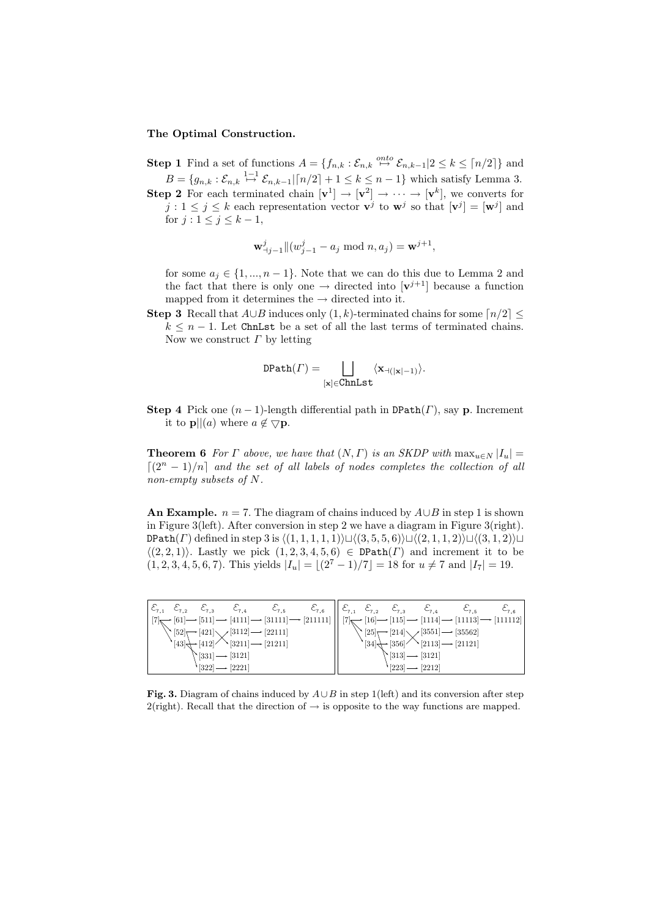#### The Optimal Construction.

**Step 1** Find a set of functions  $A = \{f_{n,k} : \mathcal{E}_{n,k} \stackrel{onto}{\mapsto} \mathcal{E}_{n,k-1} | 2 \leq k \leq \lceil n/2 \rceil \}$  and  $B = \{g_{n,k} : \mathcal{E}_{n,k} \stackrel{1-1}{\mapsto} \mathcal{E}_{n,k-1} | [n/2] + 1 \leq k \leq n-1 \}$  which satisfy Lemma 3. **Step 2** For each terminated chain  $[\mathbf{v}^1] \to [\mathbf{v}^2] \to \cdots \to [\mathbf{v}^k]$ , we converts for  $j: 1 \leq j \leq k$  each representation vector  $\mathbf{v}^j$  to  $\mathbf{w}^j$  so that  $[\mathbf{v}^j] = [\mathbf{w}^j]$  and for  $j: 1 \leq j \leq k-1$ ,

$$
\mathbf{w}_{-j-1}^{j} \| (w_{j-1}^{j} - a_j \bmod n, a_j) = \mathbf{w}^{j+1},
$$

for some  $a_j \in \{1, ..., n-1\}$ . Note that we can do this due to Lemma 2 and the fact that there is only one  $\rightarrow$  directed into  $[\mathbf{v}^{j+1}]$  because a function mapped from it determines the  $\rightarrow$  directed into it.

**Step 3** Recall that  $A\cup B$  induces only  $(1, k)$ -terminated chains for some  $\lceil n/2 \rceil \le$  $k \leq n-1$ . Let ChnLst be a set of all the last terms of terminated chains. Now we construct  $\Gamma$  by letting

$$
\mathtt{DPath}(\varGamma)=\bigsqcup_{[\mathbf{x}]\in\mathtt{ChnLst}}\langle \mathbf{x}_{\dashv(|\mathbf{x}|-1)}\rangle.
$$

Step 4 Pick one  $(n-1)$ -length differential path in DPath(T), say p. Increment it to  $\mathbf{p} \parallel (a)$  where  $a \notin \nabla \mathbf{p}$ .

**Theorem 6** For  $\Gamma$  above, we have that  $(N, \Gamma)$  is an SKDP with  $\max_{u \in N} |I_u|$  $\lceil (2^n - 1)/n \rceil$  and the set of all labels of nodes completes the collection of all non-empty subsets of N.

An Example.  $n = 7$ . The diagram of chains induced by  $A \cup B$  in step 1 is shown in Figure 3(left). After conversion in step 2 we have a diagram in Figure 3(right).  $DPath(\Gamma)$  defined in step 3 is  $\langle (1, 1, 1, 1, 1)\rangle \sqcup \langle (3, 5, 5, 6)\rangle \sqcup \langle (2, 1, 1, 2)\rangle \sqcup \langle (3, 1, 2)\rangle \sqcup$  $\langle (2, 2, 1) \rangle$ . Lastly we pick  $(1, 2, 3, 4, 5, 6) \in \text{DPath}(\Gamma)$  and increment it to be  $(1, 2, 3, 4, 5, 6, 7)$ . This yields  $|I_u| = |(2^7 - 1)/7| = 18$  for  $u \neq 7$  and  $|I_7| = 19$ .



Fig. 3. Diagram of chains induced by  $A \cup B$  in step 1(left) and its conversion after step 2(right). Recall that the direction of  $\rightarrow$  is opposite to the way functions are mapped.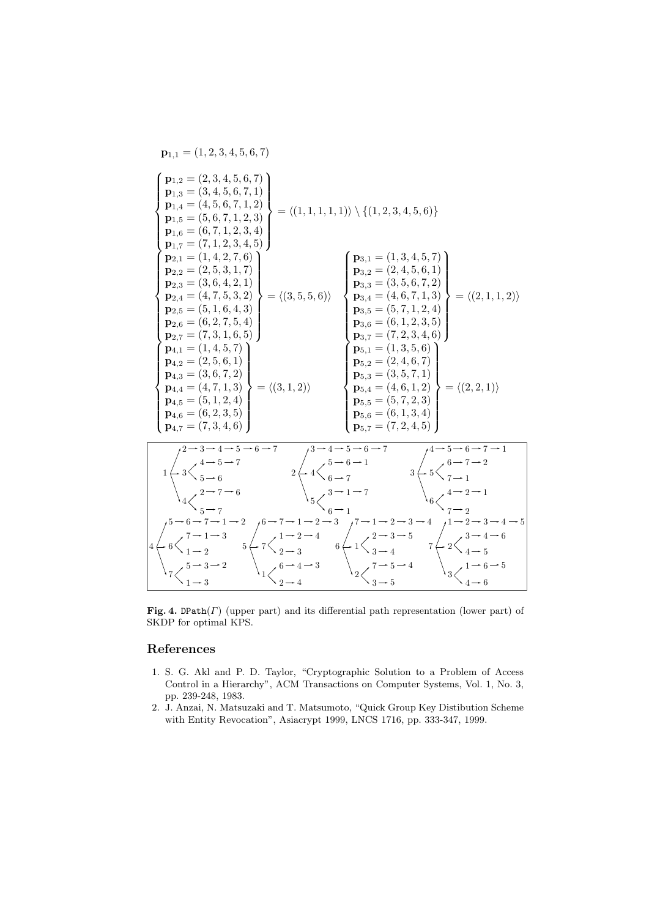



Fig. 4. DPath $(\Gamma)$  (upper part) and its differential path representation (lower part) of SKDP for optimal KPS.

# References

- 1. S. G. Akl and P. D. Taylor, "Cryptographic Solution to a Problem of Access Control in a Hierarchy", ACM Transactions on Computer Systems, Vol. 1, No. 3, pp. 239-248, 1983.
- 2. J. Anzai, N. Matsuzaki and T. Matsumoto, "Quick Group Key Distibution Scheme with Entity Revocation", Asiacrypt 1999, LNCS 1716, pp. 333-347, 1999.